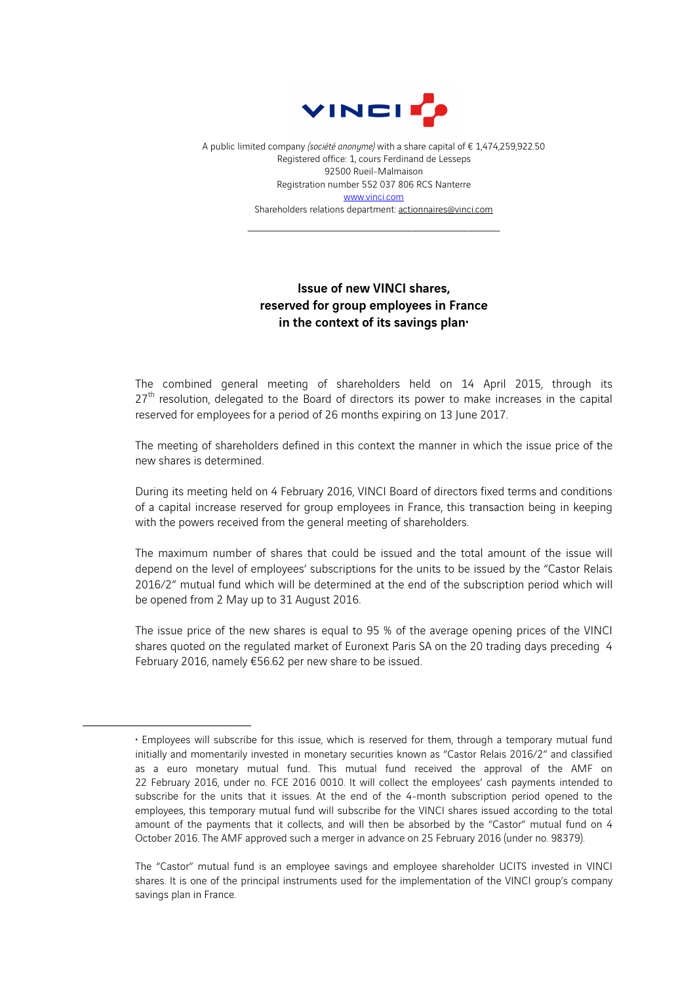

A public limited company *(société anonyme)* with a share capital of € 1,474,259,922.50 Registered office: 1, cours Ferdinand de Lesseps 92500 Rueil-Malmaison Registration number 552 037 806 RCS Nanterre www.vinci.com Shareholders relations department: actionnaires@vinci.com

 $\mathcal{L}_\text{max}$  , and the set of the set of the set of the set of the set of the set of the set of the set of the set of the set of the set of the set of the set of the set of the set of the set of the set of the set of the

## Issue of new VINCI shares, reserved for group employees in France in the context of its savings plan $\cdot$

The combined general meeting of shareholders held on 14 April 2015, through its  $27<sup>th</sup>$  resolution, delegated to the Board of directors its power to make increases in the capital reserved for employees for a period of 26 months expiring on 13 June 2017.

The meeting of shareholders defined in this context the manner in which the issue price of the new shares is determined.

During its meeting held on 4 February 2016, VINCI Board of directors fixed terms and conditions of a capital increase reserved for group employees in France, this transaction being in keeping with the powers received from the general meeting of shareholders.

The maximum number of shares that could be issued and the total amount of the issue will depend on the level of employees' subscriptions for the units to be issued by the "Castor Relais 2016/2" mutual fund which will be determined at the end of the subscription period which will be opened from 2 May up to 31 August 2016.

The issue price of the new shares is equal to 95 % of the average opening prices of the VINCI shares quoted on the regulated market of Euronext Paris SA on the 20 trading days preceding 4 February 2016, namely €56.62 per new share to be issued.

 $\overline{a}$ 

<sup>♦</sup> Employees will subscribe for this issue, which is reserved for them, through a temporary mutual fund initially and momentarily invested in monetary securities known as "Castor Relais 2016/2" and classified as a euro monetary mutual fund. This mutual fund received the approval of the AMF on 22 February 2016, under no. FCE 2016 0010. It will collect the employees' cash payments intended to subscribe for the units that it issues. At the end of the 4-month subscription period opened to the employees, this temporary mutual fund will subscribe for the VINCI shares issued according to the total amount of the payments that it collects, and will then be absorbed by the "Castor" mutual fund on 4 October 2016. The AMF approved such a merger in advance on 25 February 2016 (under no. 98379).

The "Castor" mutual fund is an employee savings and employee shareholder UCITS invested in VINCI shares. It is one of the principal instruments used for the implementation of the VINCI group's company savings plan in France.